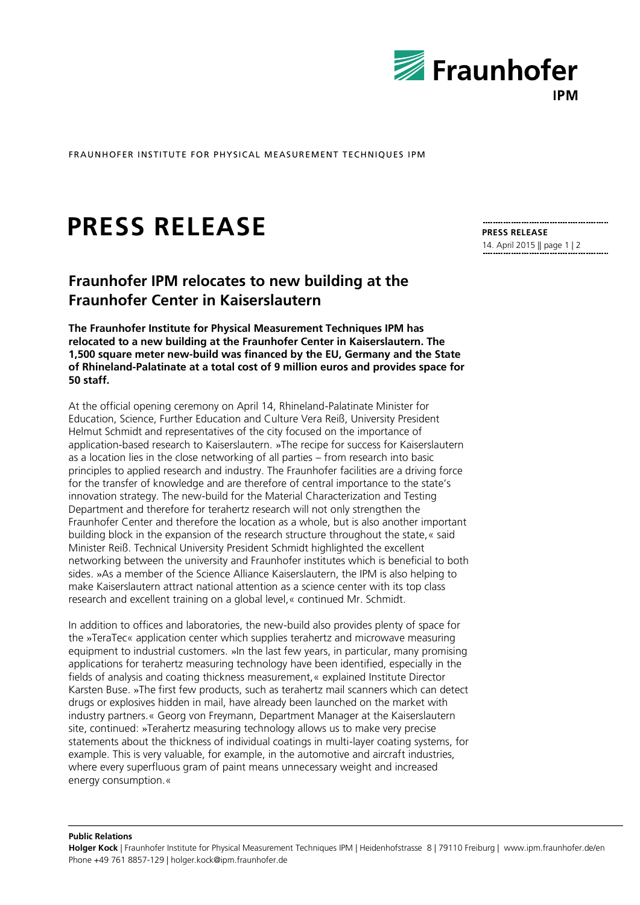

FRAUNHOFER INSTITUTE FOR PHYSICAL MEASUREMENT TECHNIQUES IPM

## **PRESS RELEASE**

## **Fraunhofer IPM relocates to new building at the Fraunhofer Center in Kaiserslautern**

**The Fraunhofer Institute for Physical Measurement Techniques IPM has relocated to a new building at the Fraunhofer Center in Kaiserslautern. The 1,500 square meter new-build was financed by the EU, Germany and the State of Rhineland-Palatinate at a total cost of 9 million euros and provides space for 50 staff.**

At the official opening ceremony on April 14, Rhineland-Palatinate Minister for Education, Science, Further Education and Culture Vera Reiß, University President Helmut Schmidt and representatives of the city focused on the importance of application-based research to Kaiserslautern. »The recipe for success for Kaiserslautern as a location lies in the close networking of all parties – from research into basic principles to applied research and industry. The Fraunhofer facilities are a driving force for the transfer of knowledge and are therefore of central importance to the state's innovation strategy. The new-build for the Material Characterization and Testing Department and therefore for terahertz research will not only strengthen the Fraunhofer Center and therefore the location as a whole, but is also another important building block in the expansion of the research structure throughout the state,« said Minister Reiß. Technical University President Schmidt highlighted the excellent networking between the university and Fraunhofer institutes which is beneficial to both sides. »As a member of the Science Alliance Kaiserslautern, the IPM is also helping to make Kaiserslautern attract national attention as a science center with its top class research and excellent training on a global level,« continued Mr. Schmidt.

In addition to offices and laboratories, the new-build also provides plenty of space for the »TeraTec« application center which supplies terahertz and microwave measuring equipment to industrial customers. »In the last few years, in particular, many promising applications for terahertz measuring technology have been identified, especially in the fields of analysis and coating thickness measurement,« explained Institute Director Karsten Buse. »The first few products, such as terahertz mail scanners which can detect drugs or explosives hidden in mail, have already been launched on the market with industry partners.« Georg von Freymann, Department Manager at the Kaiserslautern site, continued: »Terahertz measuring technology allows us to make very precise statements about the thickness of individual coatings in multi-layer coating systems, for example. This is very valuable, for example, in the automotive and aircraft industries, where every superfluous gram of paint means unnecessary weight and increased energy consumption.«

**PRESS RELEASE** 14. April 2015 || page 1 | 2

**Public Relations**

**Holger Kock** | Fraunhofer Institute for Physical Measurement Techniques IPM | Heidenhofstrasse 8 | 79110 Freiburg | www.ipm.fraunhofer.de/en Phone +49 761 8857-129 | holger.kock@ipm.fraunhofer.de